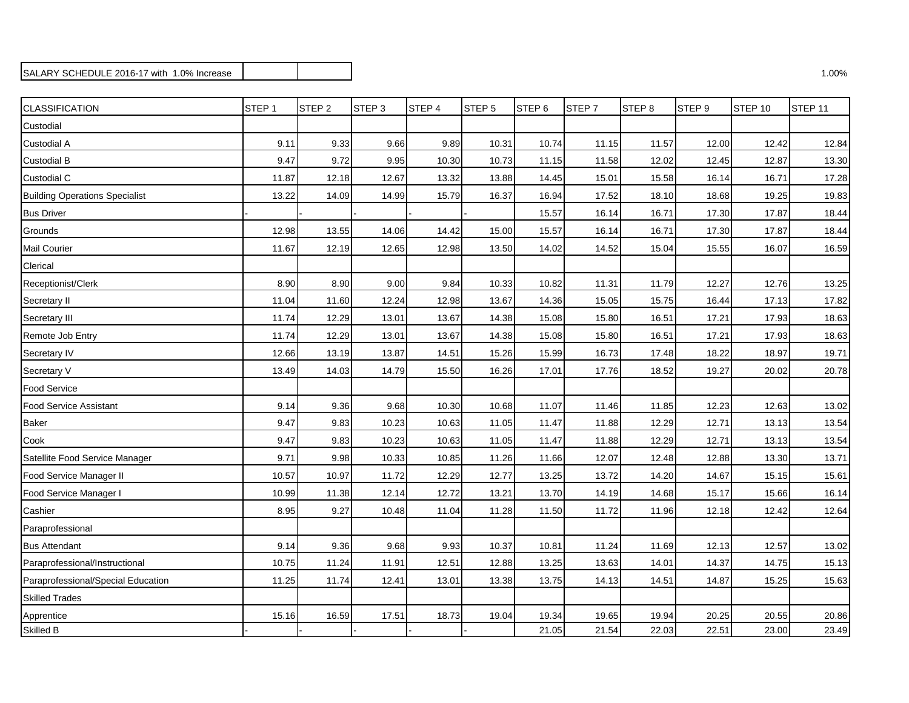## SALARY SCHEDULE 2016-17 with 1.0% Increase 2.00% and 2.00% increase 2.00% increase 2.00% increase 3.00% increase 3.00%

| <b>CLASSIFICATION</b>                 | STEP <sub>1</sub> | STEP <sub>2</sub> | STEP <sub>3</sub> | STEP 4 | STEP <sub>5</sub> | STEP <sub>6</sub> | STEP <sub>7</sub> | STEP <sub>8</sub> | STEP <sub>9</sub> | STEP 10 | STEP 11 |
|---------------------------------------|-------------------|-------------------|-------------------|--------|-------------------|-------------------|-------------------|-------------------|-------------------|---------|---------|
| Custodial                             |                   |                   |                   |        |                   |                   |                   |                   |                   |         |         |
| Custodial A                           | 9.11              | 9.33              | 9.66              | 9.89   | 10.31             | 10.74             | 11.15             | 11.57             | 12.00             | 12.42   | 12.84   |
| <b>Custodial B</b>                    | 9.47              | 9.72              | 9.95              | 10.30  | 10.73             | 11.15             | 11.58             | 12.02             | 12.45             | 12.87   | 13.30   |
| Custodial C                           | 11.87             | 12.18             | 12.67             | 13.32  | 13.88             | 14.45             | 15.01             | 15.58             | 16.14             | 16.71   | 17.28   |
| <b>Building Operations Specialist</b> | 13.22             | 14.09             | 14.99             | 15.79  | 16.37             | 16.94             | 17.52             | 18.10             | 18.68             | 19.25   | 19.83   |
| <b>Bus Driver</b>                     |                   |                   |                   |        |                   | 15.57             | 16.14             | 16.71             | 17.30             | 17.87   | 18.44   |
| Grounds                               | 12.98             | 13.55             | 14.06             | 14.42  | 15.00             | 15.57             | 16.14             | 16.71             | 17.30             | 17.87   | 18.44   |
| <b>Mail Courier</b>                   | 11.67             | 12.19             | 12.65             | 12.98  | 13.50             | 14.02             | 14.52             | 15.04             | 15.55             | 16.07   | 16.59   |
| Clerical                              |                   |                   |                   |        |                   |                   |                   |                   |                   |         |         |
| Receptionist/Clerk                    | 8.90              | 8.90              | 9.00              | 9.84   | 10.33             | 10.82             | 11.31             | 11.79             | 12.27             | 12.76   | 13.25   |
| Secretary II                          | 11.04             | 11.60             | 12.24             | 12.98  | 13.67             | 14.36             | 15.05             | 15.75             | 16.44             | 17.13   | 17.82   |
| Secretary III                         | 11.74             | 12.29             | 13.01             | 13.67  | 14.38             | 15.08             | 15.80             | 16.51             | 17.21             | 17.93   | 18.63   |
| Remote Job Entry                      | 11.74             | 12.29             | 13.01             | 13.67  | 14.38             | 15.08             | 15.80             | 16.51             | 17.21             | 17.93   | 18.63   |
| Secretary IV                          | 12.66             | 13.19             | 13.87             | 14.51  | 15.26             | 15.99             | 16.73             | 17.48             | 18.22             | 18.97   | 19.71   |
| Secretary V                           | 13.49             | 14.03             | 14.79             | 15.50  | 16.26             | 17.01             | 17.76             | 18.52             | 19.27             | 20.02   | 20.78   |
| <b>Food Service</b>                   |                   |                   |                   |        |                   |                   |                   |                   |                   |         |         |
| <b>Food Service Assistant</b>         | 9.14              | 9.36              | 9.68              | 10.30  | 10.68             | 11.07             | 11.46             | 11.85             | 12.23             | 12.63   | 13.02   |
| <b>Baker</b>                          | 9.47              | 9.83              | 10.23             | 10.63  | 11.05             | 11.47             | 11.88             | 12.29             | 12.71             | 13.13   | 13.54   |
| Cook                                  | 9.47              | 9.83              | 10.23             | 10.63  | 11.05             | 11.47             | 11.88             | 12.29             | 12.71             | 13.13   | 13.54   |
| Satellite Food Service Manager        | 9.71              | 9.98              | 10.33             | 10.85  | 11.26             | 11.66             | 12.07             | 12.48             | 12.88             | 13.30   | 13.71   |
| Food Service Manager II               | 10.57             | 10.97             | 11.72             | 12.29  | 12.77             | 13.25             | 13.72             | 14.20             | 14.67             | 15.15   | 15.61   |
| Food Service Manager I                | 10.99             | 11.38             | 12.14             | 12.72  | 13.21             | 13.70             | 14.19             | 14.68             | 15.17             | 15.66   | 16.14   |
| Cashier                               | 8.95              | 9.27              | 10.48             | 11.04  | 11.28             | 11.50             | 11.72             | 11.96             | 12.18             | 12.42   | 12.64   |
| Paraprofessional                      |                   |                   |                   |        |                   |                   |                   |                   |                   |         |         |
| <b>Bus Attendant</b>                  | 9.14              | 9.36              | 9.68              | 9.93   | 10.37             | 10.81             | 11.24             | 11.69             | 12.13             | 12.57   | 13.02   |
| Paraprofessional/Instructional        | 10.75             | 11.24             | 11.91             | 12.51  | 12.88             | 13.25             | 13.63             | 14.01             | 14.37             | 14.75   | 15.13   |
| Paraprofessional/Special Education    | 11.25             | 11.74             | 12.41             | 13.01  | 13.38             | 13.75             | 14.13             | 14.51             | 14.87             | 15.25   | 15.63   |
| <b>Skilled Trades</b>                 |                   |                   |                   |        |                   |                   |                   |                   |                   |         |         |
| Apprentice                            | 15.16             | 16.59             | 17.51             | 18.73  | 19.04             | 19.34             | 19.65             | 19.94             | 20.25             | 20.55   | 20.86   |
| Skilled B                             |                   |                   |                   |        |                   | 21.05             | 21.54             | 22.03             | 22.51             | 23.00   | 23.49   |